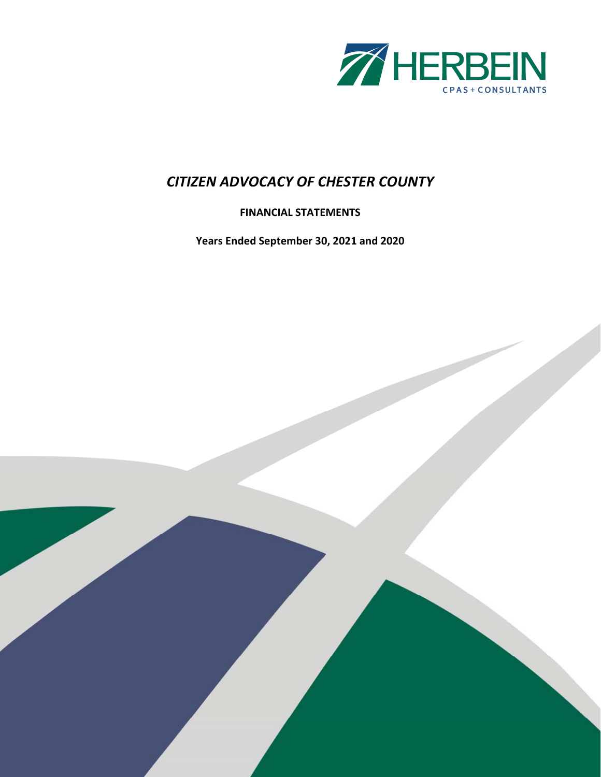

## **FINANCIAL STATEMENTS**

**Years Ended September 30, 2021 and 2020**

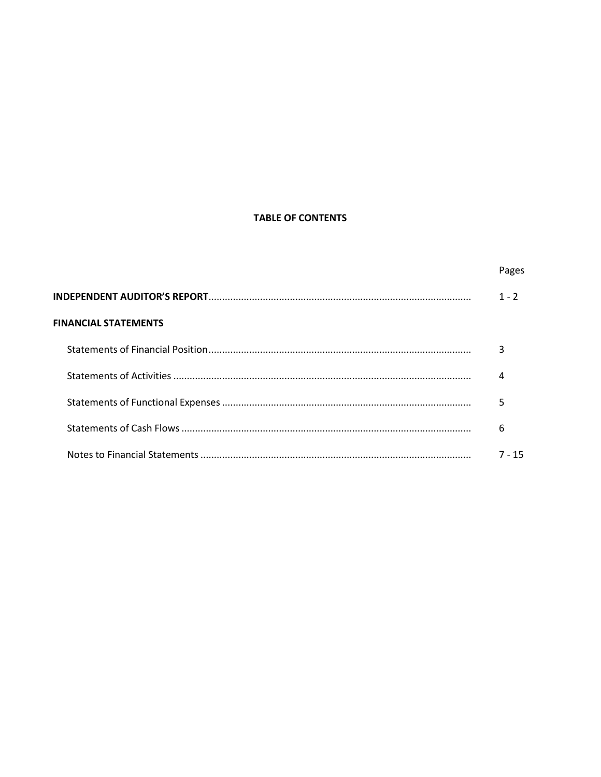## **TABLE OF CONTENTS**

|                             | Pages   |
|-----------------------------|---------|
|                             | $1 - 2$ |
| <b>FINANCIAL STATEMENTS</b> |         |
|                             | 3       |
|                             | 4       |
|                             | 5       |
|                             | 6       |
|                             | 7 - 15  |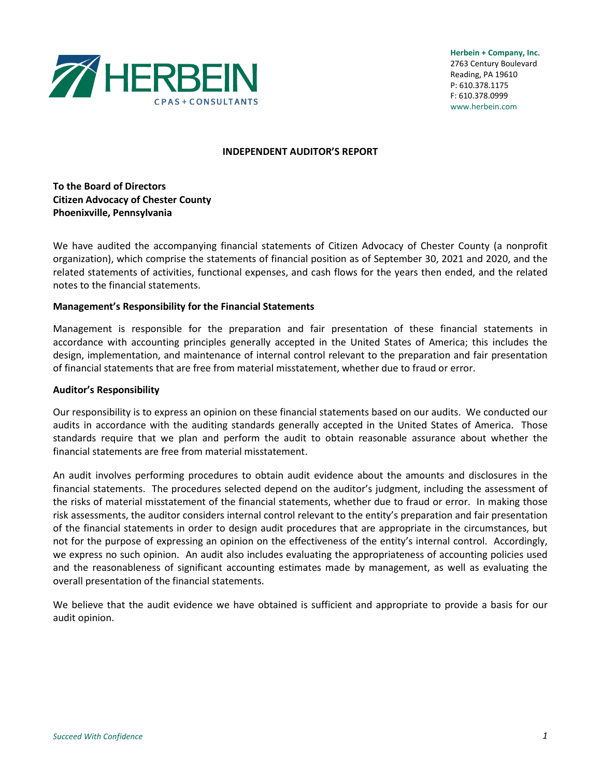

**Herbein + Company, Inc.** 2763 Century Boulevard Reading, PA 19610 P: 610.378.1175 F: 610.378.0999 www.herbein.com

#### **INDEPENDENT AUDITOR'S REPORT**

**To the Board of Directors Citizen Advocacy of Chester County Phoenixville, Pennsylvania**

We have audited the accompanying financial statements of Citizen Advocacy of Chester County (a nonprofit organization), which comprise the statements of financial position as of September 30, 2021 and 2020, and the related statements of activities, functional expenses, and cash flows for the years then ended, and the related notes to the financial statements.

#### **Management's Responsibility for the Financial Statements**

Management is responsible for the preparation and fair presentation of these financial statements in accordance with accounting principles generally accepted in the United States of America; this includes the design, implementation, and maintenance of internal control relevant to the preparation and fair presentation of financial statements that are free from material misstatement, whether due to fraud or error.

#### **Auditor's Responsibility**

Our responsibility is to express an opinion on these financial statements based on our audits. We conducted our audits in accordance with the auditing standards generally accepted in the United States of America. Those standards require that we plan and perform the audit to obtain reasonable assurance about whether the financial statements are free from material misstatement.

An audit involves performing procedures to obtain audit evidence about the amounts and disclosures in the financial statements. The procedures selected depend on the auditor's judgment, including the assessment of the risks of material misstatement of the financial statements, whether due to fraud or error. In making those risk assessments, the auditor considers internal control relevant to the entity's preparation and fair presentation of the financial statements in order to design audit procedures that are appropriate in the circumstances, but not for the purpose of expressing an opinion on the effectiveness of the entity's internal control. Accordingly, we express no such opinion. An audit also includes evaluating the appropriateness of accounting policies used and the reasonableness of significant accounting estimates made by management, as well as evaluating the overall presentation of the financial statements.

We believe that the audit evidence we have obtained is sufficient and appropriate to provide a basis for our audit opinion.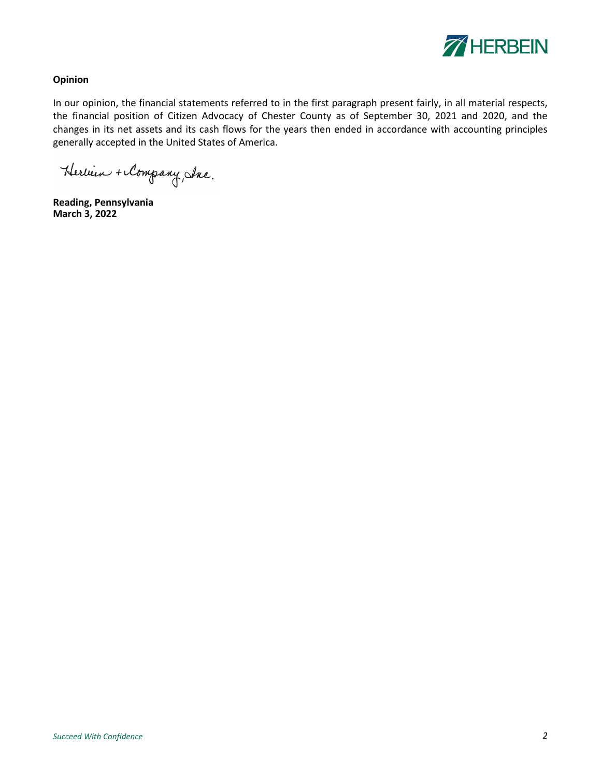

## **Opinion**

In our opinion, the financial statements referred to in the first paragraph present fairly, in all material respects, the financial position of Citizen Advocacy of Chester County as of September 30, 2021 and 2020, and the changes in its net assets and its cash flows for the years then ended in accordance with accounting principles generally accepted in the United States of America.

Herbein + Company, Inc.

**Reading, Pennsylvania March 3, 2022**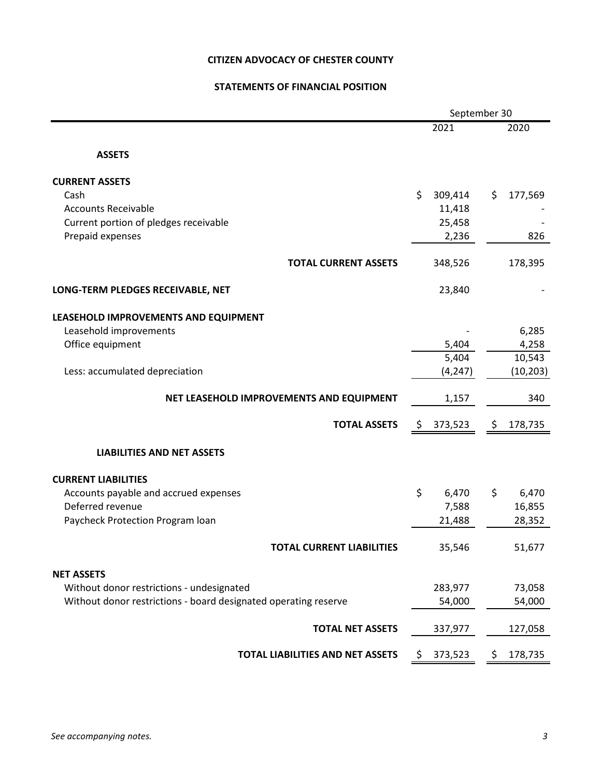## **STATEMENTS OF FINANCIAL POSITION**

|                                                                 |     | September 30 |     |           |
|-----------------------------------------------------------------|-----|--------------|-----|-----------|
|                                                                 |     | 2021         |     | 2020      |
| <b>ASSETS</b>                                                   |     |              |     |           |
| <b>CURRENT ASSETS</b>                                           |     |              |     |           |
| Cash                                                            | \$  | 309,414      | \$. | 177,569   |
| <b>Accounts Receivable</b>                                      |     | 11,418       |     |           |
| Current portion of pledges receivable                           |     | 25,458       |     |           |
| Prepaid expenses                                                |     | 2,236        |     | 826       |
| <b>TOTAL CURRENT ASSETS</b>                                     |     | 348,526      |     | 178,395   |
| LONG-TERM PLEDGES RECEIVABLE, NET                               |     | 23,840       |     |           |
| LEASEHOLD IMPROVEMENTS AND EQUIPMENT                            |     |              |     |           |
| Leasehold improvements                                          |     |              |     | 6,285     |
| Office equipment                                                |     | 5,404        |     | 4,258     |
|                                                                 |     | 5,404        |     | 10,543    |
| Less: accumulated depreciation                                  |     | (4, 247)     |     | (10, 203) |
| NET LEASEHOLD IMPROVEMENTS AND EQUIPMENT                        |     | 1,157        |     | 340       |
| <b>TOTAL ASSETS</b>                                             | \$. | 373,523      | \$  | 178,735   |
| <b>LIABILITIES AND NET ASSETS</b>                               |     |              |     |           |
| <b>CURRENT LIABILITIES</b>                                      |     |              |     |           |
| Accounts payable and accrued expenses                           | \$  | 6,470        | \$  | 6,470     |
| Deferred revenue                                                |     | 7,588        |     | 16,855    |
| Paycheck Protection Program loan                                |     | 21,488       |     | 28,352    |
| <b>TOTAL CURRENT LIABILITIES</b>                                |     | 35,546       |     | 51,677    |
| <b>NET ASSETS</b>                                               |     |              |     |           |
| Without donor restrictions - undesignated                       |     | 283,977      |     | 73,058    |
| Without donor restrictions - board designated operating reserve |     | 54,000       |     | 54,000    |
| <b>TOTAL NET ASSETS</b>                                         |     | 337,977      |     | 127,058   |
| TOTAL LIABILITIES AND NET ASSETS                                | \$  | 373,523      | \$  | 178,735   |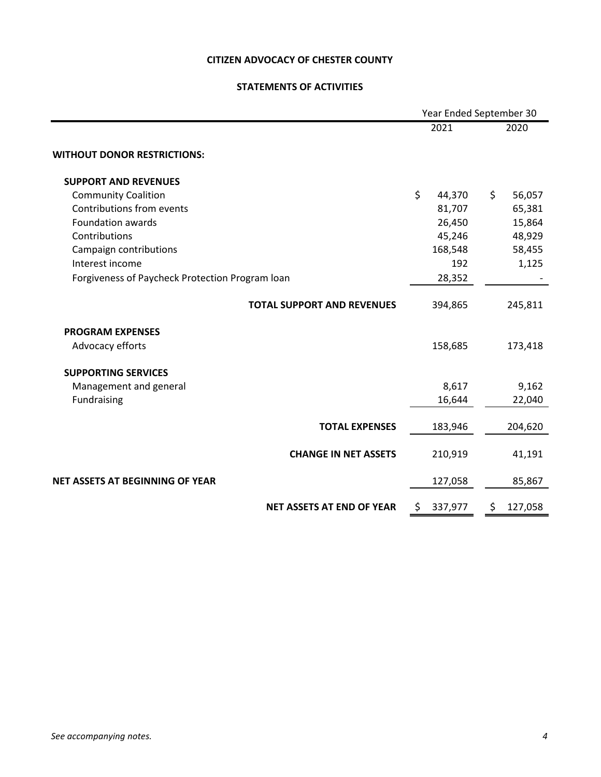## **STATEMENTS OF ACTIVITIES**

|                                                 | Year Ended September 30 |         |    |         |  |  |
|-------------------------------------------------|-------------------------|---------|----|---------|--|--|
|                                                 |                         | 2021    |    | 2020    |  |  |
| <b>WITHOUT DONOR RESTRICTIONS:</b>              |                         |         |    |         |  |  |
| <b>SUPPORT AND REVENUES</b>                     |                         |         |    |         |  |  |
| <b>Community Coalition</b>                      | \$                      | 44,370  | \$ | 56,057  |  |  |
| Contributions from events                       |                         | 81,707  |    | 65,381  |  |  |
| <b>Foundation awards</b>                        |                         | 26,450  |    | 15,864  |  |  |
| Contributions                                   |                         | 45,246  |    | 48,929  |  |  |
| Campaign contributions                          |                         | 168,548 |    | 58,455  |  |  |
| Interest income                                 |                         | 192     |    | 1,125   |  |  |
| Forgiveness of Paycheck Protection Program loan |                         | 28,352  |    |         |  |  |
| <b>TOTAL SUPPORT AND REVENUES</b>               |                         | 394,865 |    | 245,811 |  |  |
| <b>PROGRAM EXPENSES</b>                         |                         |         |    |         |  |  |
| Advocacy efforts                                |                         | 158,685 |    | 173,418 |  |  |
| <b>SUPPORTING SERVICES</b>                      |                         |         |    |         |  |  |
| Management and general                          |                         | 8,617   |    | 9,162   |  |  |
| Fundraising                                     |                         | 16,644  |    | 22,040  |  |  |
| <b>TOTAL EXPENSES</b>                           |                         | 183,946 |    | 204,620 |  |  |
| <b>CHANGE IN NET ASSETS</b>                     |                         | 210,919 |    | 41,191  |  |  |
| <b>NET ASSETS AT BEGINNING OF YEAR</b>          |                         | 127,058 |    | 85,867  |  |  |
| <b>NET ASSETS AT END OF YEAR</b>                | \$                      | 337,977 | \$ | 127,058 |  |  |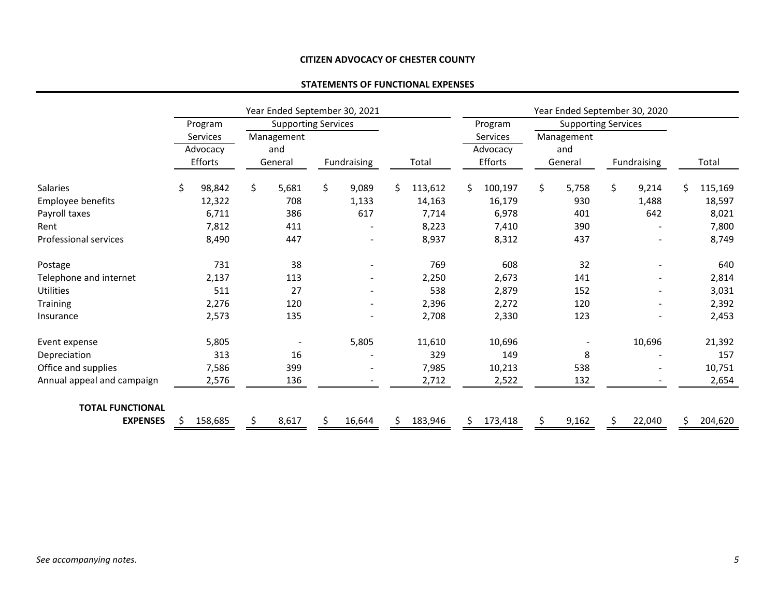## **STATEMENTS OF FUNCTIONAL EXPENSES**

|                            |    | Year Ended September 30, 2021 |    |                            |    |             |    | Year Ended September 30, 2020 |                    |          |             |                            |    |                          |     |         |
|----------------------------|----|-------------------------------|----|----------------------------|----|-------------|----|-------------------------------|--------------------|----------|-------------|----------------------------|----|--------------------------|-----|---------|
|                            |    | Program                       |    | <b>Supporting Services</b> |    |             |    |                               |                    | Program  |             | <b>Supporting Services</b> |    |                          |     |         |
|                            |    | Services                      |    | Management                 |    |             |    |                               | Services           |          |             | Management                 |    |                          |     |         |
|                            |    | Advocacy                      |    | and                        |    |             |    |                               |                    | Advocacy | and         |                            |    |                          |     |         |
|                            |    | Efforts                       |    | General                    |    | Fundraising |    | Total                         | Efforts<br>General |          | Fundraising |                            |    | Total                    |     |         |
| <b>Salaries</b>            | \$ | 98,842                        | \$ | 5,681                      | \$ | 9,089       | \$ | 113,612                       | \$                 | 100,197  | \$          | 5,758                      | \$ | 9,214                    | \$. | 115,169 |
| Employee benefits          |    | 12,322                        |    | 708                        |    | 1,133       |    | 14,163                        |                    | 16,179   |             | 930                        |    | 1,488                    |     | 18,597  |
| Payroll taxes              |    | 6,711                         |    | 386                        |    | 617         |    | 7,714                         |                    | 6,978    |             | 401                        |    | 642                      |     | 8,021   |
| Rent                       |    | 7,812                         |    | 411                        |    |             |    | 8,223                         |                    | 7,410    |             | 390                        |    |                          |     | 7,800   |
| Professional services      |    | 8,490                         |    | 447                        |    |             |    | 8,937                         |                    | 8,312    |             | 437                        |    |                          |     | 8,749   |
| Postage                    |    | 731                           |    | 38                         |    |             |    | 769                           |                    | 608      |             | 32                         |    |                          |     | 640     |
| Telephone and internet     |    | 2,137                         |    | 113                        |    |             |    | 2,250                         |                    | 2,673    |             | 141                        |    |                          |     | 2,814   |
| <b>Utilities</b>           |    | 511                           |    | 27                         |    |             |    | 538                           |                    | 2,879    |             | 152                        |    | $\blacksquare$           |     | 3,031   |
| <b>Training</b>            |    | 2,276                         |    | 120                        |    |             |    | 2,396                         |                    | 2,272    |             | 120                        |    | $\blacksquare$           |     | 2,392   |
| Insurance                  |    | 2,573                         |    | 135                        |    |             |    | 2,708                         |                    | 2,330    |             | 123                        |    | $\overline{\phantom{0}}$ |     | 2,453   |
| Event expense              |    | 5,805                         |    |                            |    | 5,805       |    | 11,610                        |                    | 10,696   |             |                            |    | 10,696                   |     | 21,392  |
| Depreciation               |    | 313                           |    | 16                         |    |             |    | 329                           |                    | 149      |             | 8                          |    |                          |     | 157     |
| Office and supplies        |    | 7,586                         |    | 399                        |    |             |    | 7,985                         |                    | 10,213   |             | 538                        |    |                          |     | 10,751  |
| Annual appeal and campaign |    | 2,576                         |    | 136                        |    |             |    | 2,712                         |                    | 2,522    |             | 132                        |    |                          |     | 2,654   |
| <b>TOTAL FUNCTIONAL</b>    |    |                               |    |                            |    |             |    |                               |                    |          |             |                            |    |                          |     |         |
| <b>EXPENSES</b>            | S  | 158,685                       | S  | 8,617                      | S  | 16,644      | S  | 183,946                       | S.                 | 173,418  |             | 9,162                      | S  | 22,040                   | Ś.  | 204,620 |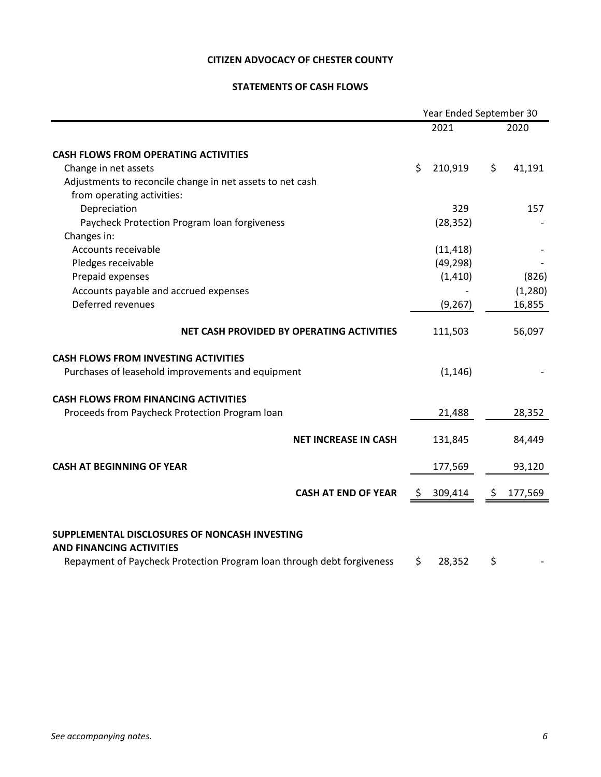## **STATEMENTS OF CASH FLOWS**

|                                                                                                                                                            | Year Ended September 30 |           |               |         |  |  |
|------------------------------------------------------------------------------------------------------------------------------------------------------------|-------------------------|-----------|---------------|---------|--|--|
|                                                                                                                                                            |                         | 2021      |               | 2020    |  |  |
| <b>CASH FLOWS FROM OPERATING ACTIVITIES</b>                                                                                                                |                         |           |               |         |  |  |
| Change in net assets                                                                                                                                       | \$                      | 210,919   | \$            | 41,191  |  |  |
| Adjustments to reconcile change in net assets to net cash                                                                                                  |                         |           |               |         |  |  |
| from operating activities:                                                                                                                                 |                         |           |               |         |  |  |
| Depreciation                                                                                                                                               |                         | 329       |               | 157     |  |  |
| Paycheck Protection Program loan forgiveness                                                                                                               |                         | (28, 352) |               |         |  |  |
| Changes in:                                                                                                                                                |                         |           |               |         |  |  |
| Accounts receivable                                                                                                                                        |                         | (11, 418) |               |         |  |  |
| Pledges receivable                                                                                                                                         |                         | (49, 298) |               |         |  |  |
| Prepaid expenses                                                                                                                                           |                         | (1, 410)  |               | (826)   |  |  |
| Accounts payable and accrued expenses                                                                                                                      |                         |           |               | (1,280) |  |  |
| Deferred revenues                                                                                                                                          |                         | (9, 267)  |               | 16,855  |  |  |
| NET CASH PROVIDED BY OPERATING ACTIVITIES                                                                                                                  |                         | 111,503   |               | 56,097  |  |  |
| <b>CASH FLOWS FROM INVESTING ACTIVITIES</b>                                                                                                                |                         |           |               |         |  |  |
| Purchases of leasehold improvements and equipment                                                                                                          |                         | (1, 146)  |               |         |  |  |
| <b>CASH FLOWS FROM FINANCING ACTIVITIES</b>                                                                                                                |                         |           |               |         |  |  |
| Proceeds from Paycheck Protection Program loan                                                                                                             |                         | 21,488    |               | 28,352  |  |  |
| <b>NET INCREASE IN CASH</b>                                                                                                                                |                         | 131,845   |               | 84,449  |  |  |
| <b>CASH AT BEGINNING OF YEAR</b>                                                                                                                           |                         | 177,569   |               | 93,120  |  |  |
| <b>CASH AT END OF YEAR</b>                                                                                                                                 | Ş.                      | 309,414   | $\frac{5}{7}$ | 177,569 |  |  |
| SUPPLEMENTAL DISCLOSURES OF NONCASH INVESTING<br><b>AND FINANCING ACTIVITIES</b><br>Repayment of Paycheck Protection Program loan through debt forgiveness | \$.                     | 28,352    | \$            |         |  |  |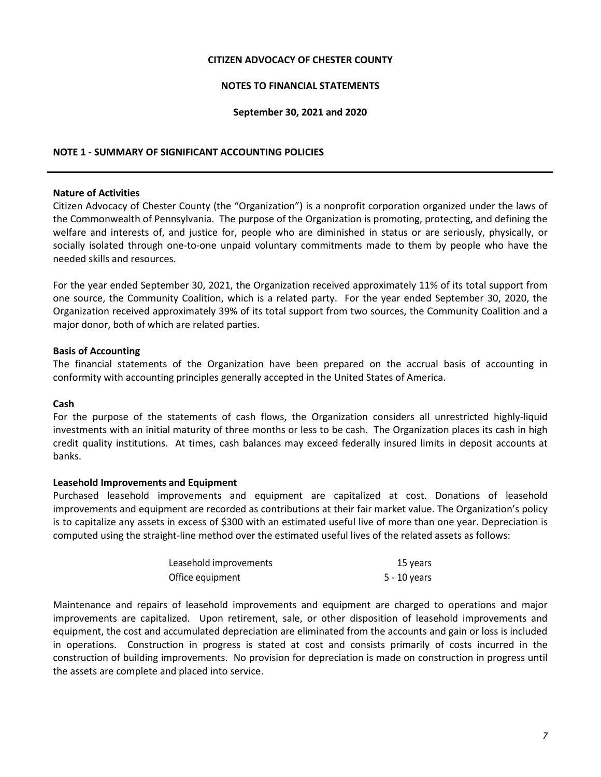## **NOTES TO FINANCIAL STATEMENTS**

#### **September 30, 2021 and 2020**

## **NOTE 1 - SUMMARY OF SIGNIFICANT ACCOUNTING POLICIES**

#### **Nature of Activities**

Citizen Advocacy of Chester County (the "Organization") is a nonprofit corporation organized under the laws of the Commonwealth of Pennsylvania. The purpose of the Organization is promoting, protecting, and defining the welfare and interests of, and justice for, people who are diminished in status or are seriously, physically, or socially isolated through one-to-one unpaid voluntary commitments made to them by people who have the needed skills and resources.

For the year ended September 30, 2021, the Organization received approximately 11% of its total support from one source, the Community Coalition, which is a related party. For the year ended September 30, 2020, the Organization received approximately 39% of its total support from two sources, the Community Coalition and a major donor, both of which are related parties.

#### **Basis of Accounting**

The financial statements of the Organization have been prepared on the accrual basis of accounting in conformity with accounting principles generally accepted in the United States of America.

#### **Cash**

For the purpose of the statements of cash flows, the Organization considers all unrestricted highly-liquid investments with an initial maturity of three months or less to be cash. The Organization places its cash in high credit quality institutions. At times, cash balances may exceed federally insured limits in deposit accounts at banks.

#### **Leasehold Improvements and Equipment**

Purchased leasehold improvements and equipment are capitalized at cost. Donations of leasehold improvements and equipment are recorded as contributions at their fair market value. The Organization's policy is to capitalize any assets in excess of \$300 with an estimated useful live of more than one year. Depreciation is computed using the straight-line method over the estimated useful lives of the related assets as follows:

| Leasehold improvements | 15 years     |
|------------------------|--------------|
| Office equipment       | 5 - 10 years |

Maintenance and repairs of leasehold improvements and equipment are charged to operations and major improvements are capitalized. Upon retirement, sale, or other disposition of leasehold improvements and equipment, the cost and accumulated depreciation are eliminated from the accounts and gain or loss is included in operations. Construction in progress is stated at cost and consists primarily of costs incurred in the construction of building improvements. No provision for depreciation is made on construction in progress until the assets are complete and placed into service.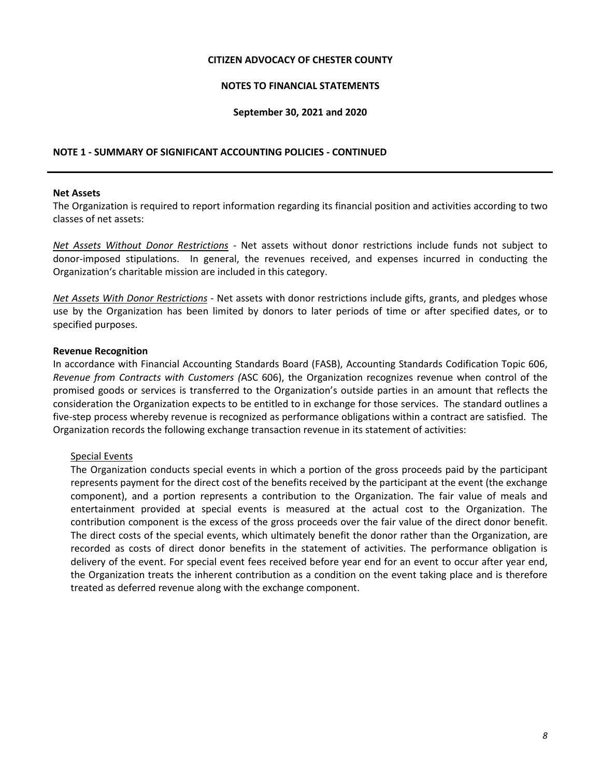## **NOTES TO FINANCIAL STATEMENTS**

#### **September 30, 2021 and 2020**

## **NOTE 1 - SUMMARY OF SIGNIFICANT ACCOUNTING POLICIES - CONTINUED**

#### **Net Assets**

The Organization is required to report information regarding its financial position and activities according to two classes of net assets:

*Net Assets Without Donor Restrictions -* Net assets without donor restrictions include funds not subject to donor-imposed stipulations. In general, the revenues received, and expenses incurred in conducting the Organization's charitable mission are included in this category.

*Net Assets With Donor Restrictions* - Net assets with donor restrictions include gifts, grants, and pledges whose use by the Organization has been limited by donors to later periods of time or after specified dates, or to specified purposes.

#### **Revenue Recognition**

In accordance with Financial Accounting Standards Board (FASB), Accounting Standards Codification Topic 606, *Revenue from Contracts with Customers (*ASC 606), the Organization recognizes revenue when control of the promised goods or services is transferred to the Organization's outside parties in an amount that reflects the consideration the Organization expects to be entitled to in exchange for those services. The standard outlines a five-step process whereby revenue is recognized as performance obligations within a contract are satisfied. The Organization records the following exchange transaction revenue in its statement of activities:

## Special Events

The Organization conducts special events in which a portion of the gross proceeds paid by the participant represents payment for the direct cost of the benefits received by the participant at the event (the exchange component), and a portion represents a contribution to the Organization. The fair value of meals and entertainment provided at special events is measured at the actual cost to the Organization. The contribution component is the excess of the gross proceeds over the fair value of the direct donor benefit. The direct costs of the special events, which ultimately benefit the donor rather than the Organization, are recorded as costs of direct donor benefits in the statement of activities. The performance obligation is delivery of the event. For special event fees received before year end for an event to occur after year end, the Organization treats the inherent contribution as a condition on the event taking place and is therefore treated as deferred revenue along with the exchange component.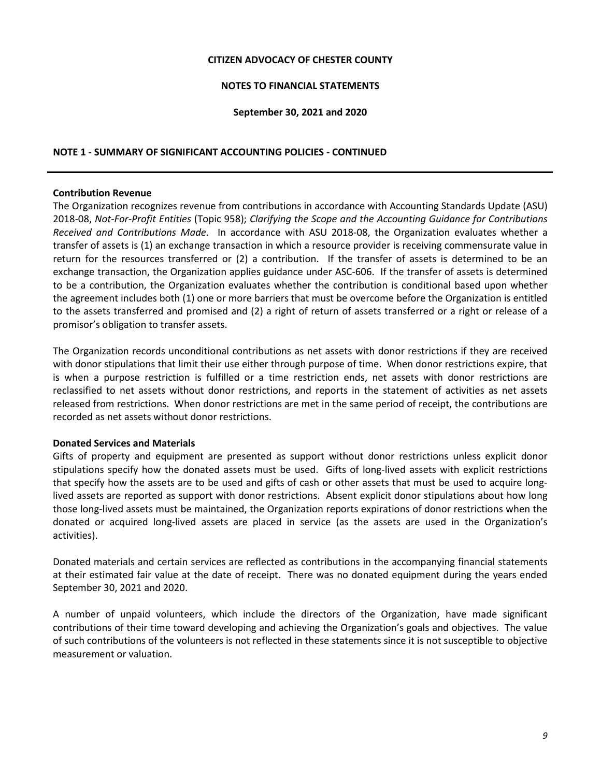## **NOTES TO FINANCIAL STATEMENTS**

#### **September 30, 2021 and 2020**

## **NOTE 1 - SUMMARY OF SIGNIFICANT ACCOUNTING POLICIES - CONTINUED**

#### **Contribution Revenue**

The Organization recognizes revenue from contributions in accordance with Accounting Standards Update (ASU) 2018-08, *Not-For-Profit Entities* (Topic 958); *Clarifying the Scope and the Accounting Guidance for Contributions Received and Contributions Made*. In accordance with ASU 2018-08, the Organization evaluates whether a transfer of assets is (1) an exchange transaction in which a resource provider is receiving commensurate value in return for the resources transferred or (2) a contribution. If the transfer of assets is determined to be an exchange transaction, the Organization applies guidance under ASC-606. If the transfer of assets is determined to be a contribution, the Organization evaluates whether the contribution is conditional based upon whether the agreement includes both (1) one or more barriers that must be overcome before the Organization is entitled to the assets transferred and promised and (2) a right of return of assets transferred or a right or release of a promisor's obligation to transfer assets.

The Organization records unconditional contributions as net assets with donor restrictions if they are received with donor stipulations that limit their use either through purpose of time. When donor restrictions expire, that is when a purpose restriction is fulfilled or a time restriction ends, net assets with donor restrictions are reclassified to net assets without donor restrictions, and reports in the statement of activities as net assets released from restrictions. When donor restrictions are met in the same period of receipt, the contributions are recorded as net assets without donor restrictions.

## **Donated Services and Materials**

Gifts of property and equipment are presented as support without donor restrictions unless explicit donor stipulations specify how the donated assets must be used. Gifts of long-lived assets with explicit restrictions that specify how the assets are to be used and gifts of cash or other assets that must be used to acquire longlived assets are reported as support with donor restrictions. Absent explicit donor stipulations about how long those long-lived assets must be maintained, the Organization reports expirations of donor restrictions when the donated or acquired long-lived assets are placed in service (as the assets are used in the Organization's activities).

Donated materials and certain services are reflected as contributions in the accompanying financial statements at their estimated fair value at the date of receipt. There was no donated equipment during the years ended September 30, 2021 and 2020.

A number of unpaid volunteers, which include the directors of the Organization, have made significant contributions of their time toward developing and achieving the Organization's goals and objectives. The value of such contributions of the volunteers is not reflected in these statements since it is not susceptible to objective measurement or valuation.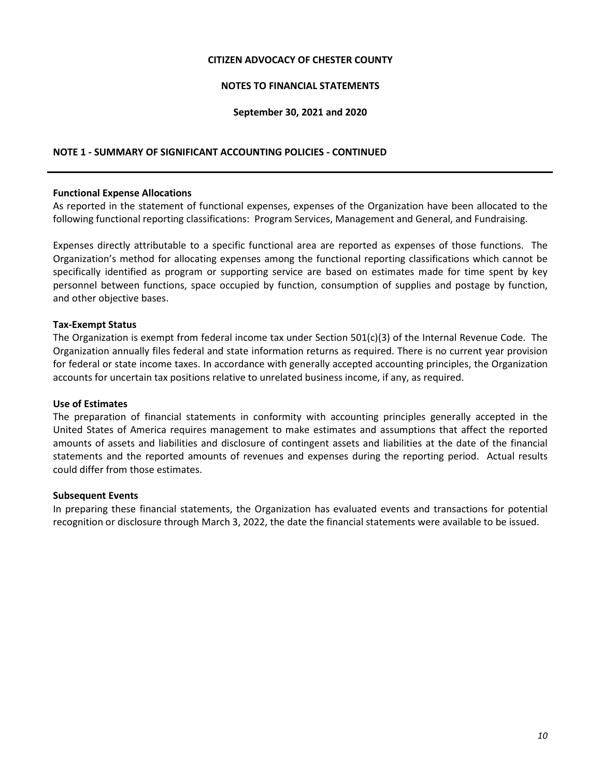## **NOTES TO FINANCIAL STATEMENTS**

#### **September 30, 2021 and 2020**

## **NOTE 1 - SUMMARY OF SIGNIFICANT ACCOUNTING POLICIES - CONTINUED**

#### **Functional Expense Allocations**

As reported in the statement of functional expenses, expenses of the Organization have been allocated to the following functional reporting classifications: Program Services, Management and General, and Fundraising.

Expenses directly attributable to a specific functional area are reported as expenses of those functions. The Organization's method for allocating expenses among the functional reporting classifications which cannot be specifically identified as program or supporting service are based on estimates made for time spent by key personnel between functions, space occupied by function, consumption of supplies and postage by function, and other objective bases.

#### **Tax-Exempt Status**

The Organization is exempt from federal income tax under Section 501(c)(3) of the Internal Revenue Code. The Organization annually files federal and state information returns as required. There is no current year provision for federal or state income taxes. In accordance with generally accepted accounting principles, the Organization accounts for uncertain tax positions relative to unrelated business income, if any, as required.

#### **Use of Estimates**

The preparation of financial statements in conformity with accounting principles generally accepted in the United States of America requires management to make estimates and assumptions that affect the reported amounts of assets and liabilities and disclosure of contingent assets and liabilities at the date of the financial statements and the reported amounts of revenues and expenses during the reporting period. Actual results could differ from those estimates.

#### **Subsequent Events**

In preparing these financial statements, the Organization has evaluated events and transactions for potential recognition or disclosure through March 3, 2022, the date the financial statements were available to be issued.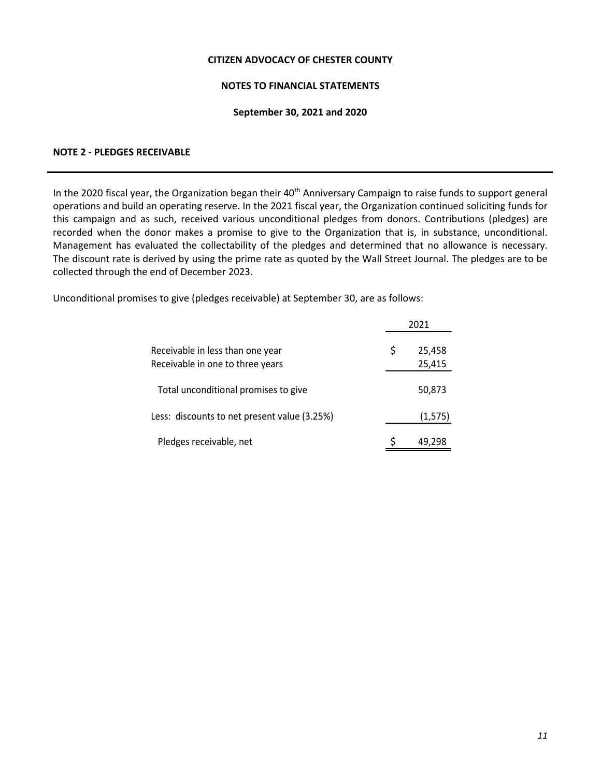## **NOTES TO FINANCIAL STATEMENTS**

#### **September 30, 2021 and 2020**

## **NOTE 2 - PLEDGES RECEIVABLE**

In the 2020 fiscal year, the Organization began their 40<sup>th</sup> Anniversary Campaign to raise funds to support general operations and build an operating reserve. In the 2021 fiscal year, the Organization continued soliciting funds for this campaign and as such, received various unconditional pledges from donors. Contributions (pledges) are recorded when the donor makes a promise to give to the Organization that is, in substance, unconditional. Management has evaluated the collectability of the pledges and determined that no allowance is necessary. The discount rate is derived by using the prime rate as quoted by the Wall Street Journal. The pledges are to be collected through the end of December 2023.

Unconditional promises to give (pledges receivable) at September 30, are as follows:

|                                                                      | 2021 |                  |  |  |
|----------------------------------------------------------------------|------|------------------|--|--|
| Receivable in less than one year<br>Receivable in one to three years | S    | 25,458<br>25,415 |  |  |
| Total unconditional promises to give                                 |      | 50,873           |  |  |
| Less: discounts to net present value (3.25%)                         |      | (1, 575)         |  |  |
| Pledges receivable, net                                              |      | 49.298           |  |  |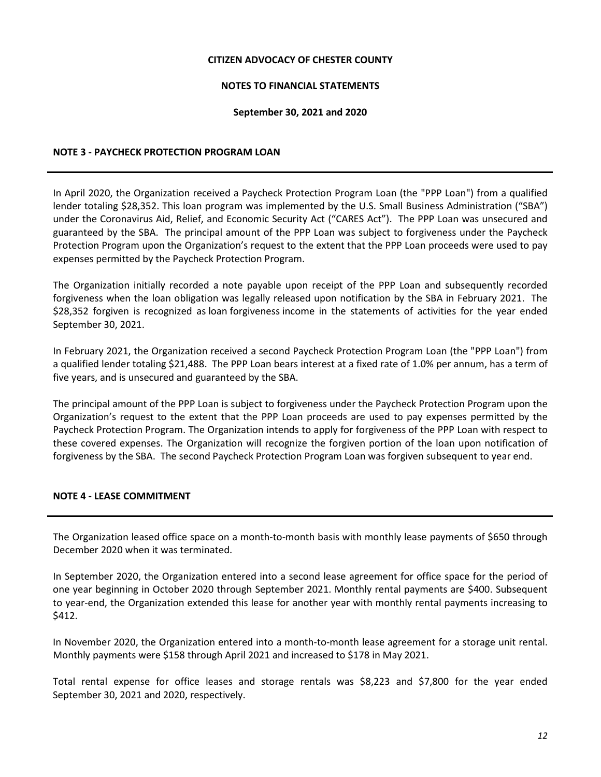## **NOTES TO FINANCIAL STATEMENTS**

#### **September 30, 2021 and 2020**

## **NOTE 3 - PAYCHECK PROTECTION PROGRAM LOAN**

In April 2020, the Organization received a Paycheck Protection Program Loan (the "PPP Loan") from a qualified lender totaling \$28,352. This loan program was implemented by the U.S. Small Business Administration ("SBA") under the Coronavirus Aid, Relief, and Economic Security Act ("CARES Act"). The PPP Loan was unsecured and guaranteed by the SBA. The principal amount of the PPP Loan was subject to forgiveness under the Paycheck Protection Program upon the Organization's request to the extent that the PPP Loan proceeds were used to pay expenses permitted by the Paycheck Protection Program.

The Organization initially recorded a note payable upon receipt of the PPP Loan and subsequently recorded forgiveness when the loan obligation was legally released upon notification by the SBA in February 2021. The \$28,352 forgiven is recognized as loan forgiveness income in the statements of activities for the year ended September 30, 2021.

In February 2021, the Organization received a second Paycheck Protection Program Loan (the "PPP Loan") from a qualified lender totaling \$21,488. The PPP Loan bears interest at a fixed rate of 1.0% per annum, has a term of five years, and is unsecured and guaranteed by the SBA.

The principal amount of the PPP Loan is subject to forgiveness under the Paycheck Protection Program upon the Organization's request to the extent that the PPP Loan proceeds are used to pay expenses permitted by the Paycheck Protection Program. The Organization intends to apply for forgiveness of the PPP Loan with respect to these covered expenses. The Organization will recognize the forgiven portion of the loan upon notification of forgiveness by the SBA. The second Paycheck Protection Program Loan was forgiven subsequent to year end.

## **NOTE 4 - LEASE COMMITMENT**

The Organization leased office space on a month-to-month basis with monthly lease payments of \$650 through December 2020 when it was terminated.

In September 2020, the Organization entered into a second lease agreement for office space for the period of one year beginning in October 2020 through September 2021. Monthly rental payments are \$400. Subsequent to year-end, the Organization extended this lease for another year with monthly rental payments increasing to \$412.

In November 2020, the Organization entered into a month-to-month lease agreement for a storage unit rental. Monthly payments were \$158 through April 2021 and increased to \$178 in May 2021.

Total rental expense for office leases and storage rentals was \$8,223 and \$7,800 for the year ended September 30, 2021 and 2020, respectively.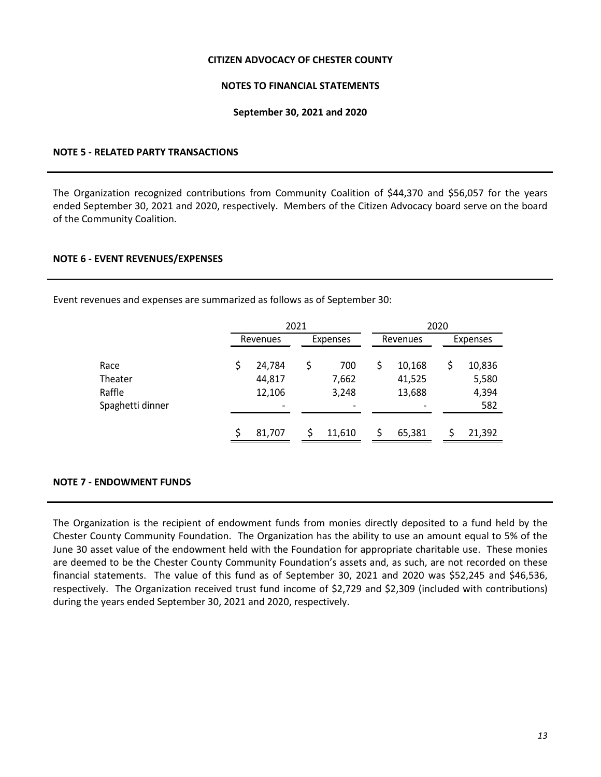## **NOTES TO FINANCIAL STATEMENTS**

#### **September 30, 2021 and 2020**

## **NOTE 5 - RELATED PARTY TRANSACTIONS**

The Organization recognized contributions from Community Coalition of \$44,370 and \$56,057 for the years ended September 30, 2021 and 2020, respectively. Members of the Citizen Advocacy board serve on the board of the Community Coalition.

#### **NOTE 6 - EVENT REVENUES/EXPENSES**

Event revenues and expenses are summarized as follows as of September 30:

|                  | 2021     |  |          |    |                          |  |          |
|------------------|----------|--|----------|----|--------------------------|--|----------|
|                  | Revenues |  | Expenses |    | Revenues                 |  | Expenses |
|                  |          |  |          |    |                          |  |          |
| Race             | 24,784   |  | 700      | \$ | 10,168                   |  | 10,836   |
| Theater          | 44,817   |  | 7,662    |    | 41,525                   |  | 5,580    |
| Raffle           | 12,106   |  | 3,248    |    | 13,688                   |  | 4,394    |
| Spaghetti dinner | -        |  |          |    | $\overline{\phantom{a}}$ |  | 582      |
|                  |          |  |          |    |                          |  |          |
|                  | 81,707   |  | 11,610   |    | 65,381                   |  | 21,392   |

## **NOTE 7 - ENDOWMENT FUNDS**

The Organization is the recipient of endowment funds from monies directly deposited to a fund held by the Chester County Community Foundation. The Organization has the ability to use an amount equal to 5% of the June 30 asset value of the endowment held with the Foundation for appropriate charitable use. These monies are deemed to be the Chester County Community Foundation's assets and, as such, are not recorded on these financial statements. The value of this fund as of September 30, 2021 and 2020 was \$52,245 and \$46,536, respectively. The Organization received trust fund income of \$2,729 and \$2,309 (included with contributions) during the years ended September 30, 2021 and 2020, respectively.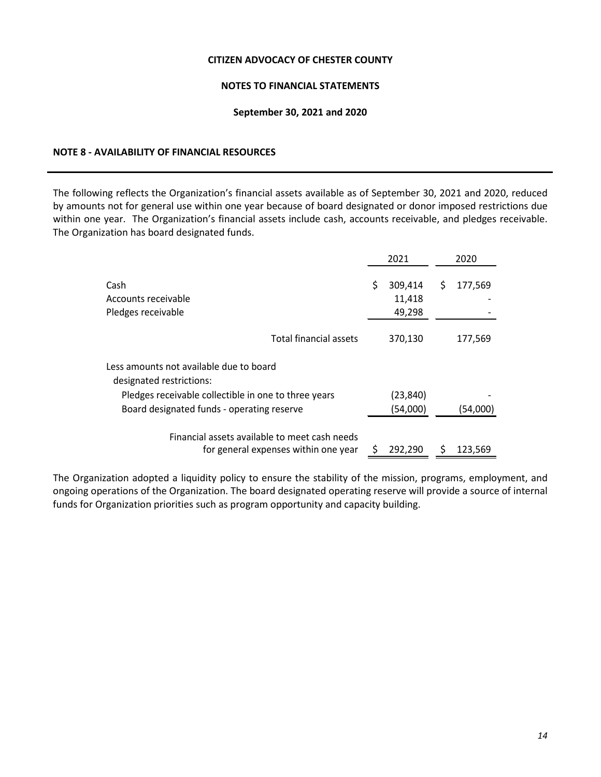## **NOTES TO FINANCIAL STATEMENTS**

#### **September 30, 2021 and 2020**

## **NOTE 8 - AVAILABILITY OF FINANCIAL RESOURCES**

The following reflects the Organization's financial assets available as of September 30, 2021 and 2020, reduced by amounts not for general use within one year because of board designated or donor imposed restrictions due within one year. The Organization's financial assets include cash, accounts receivable, and pledges receivable. The Organization has board designated funds.

|                                                                                       | 2021                              | 2020          |
|---------------------------------------------------------------------------------------|-----------------------------------|---------------|
| Cash<br>Accounts receivable<br>Pledges receivable                                     | \$<br>309,414<br>11,418<br>49,298 | \$<br>177,569 |
| Total financial assets                                                                | 370,130                           | 177,569       |
| Less amounts not available due to board<br>designated restrictions:                   |                                   |               |
| Pledges receivable collectible in one to three years                                  | (23,840)                          |               |
| Board designated funds - operating reserve                                            | (54,000)                          | (54,000)      |
| Financial assets available to meet cash needs<br>for general expenses within one year | 292,290                           | 123,569       |

The Organization adopted a liquidity policy to ensure the stability of the mission, programs, employment, and ongoing operations of the Organization. The board designated operating reserve will provide a source of internal funds for Organization priorities such as program opportunity and capacity building.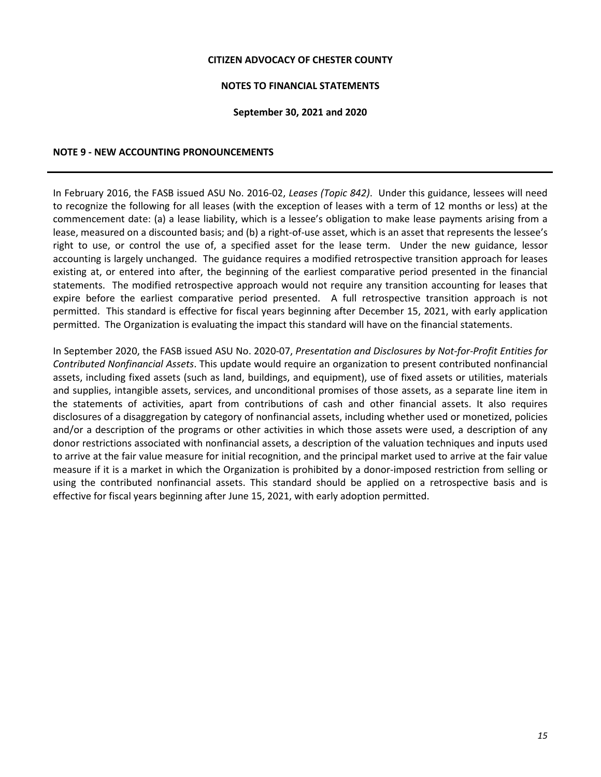## **NOTES TO FINANCIAL STATEMENTS**

#### **September 30, 2021 and 2020**

#### **NOTE 9 - NEW ACCOUNTING PRONOUNCEMENTS**

In February 2016, the FASB issued ASU No. 2016-02, *Leases (Topic 842)*. Under this guidance, lessees will need to recognize the following for all leases (with the exception of leases with a term of 12 months or less) at the commencement date: (a) a lease liability, which is a lessee's obligation to make lease payments arising from a lease, measured on a discounted basis; and (b) a right-of-use asset, which is an asset that represents the lessee's right to use, or control the use of, a specified asset for the lease term. Under the new guidance, lessor accounting is largely unchanged. The guidance requires a modified retrospective transition approach for leases existing at, or entered into after, the beginning of the earliest comparative period presented in the financial statements. The modified retrospective approach would not require any transition accounting for leases that expire before the earliest comparative period presented. A full retrospective transition approach is not permitted. This standard is effective for fiscal years beginning after December 15, 2021, with early application permitted. The Organization is evaluating the impact this standard will have on the financial statements.

In September 2020, the FASB issued ASU No. 2020-07, *Presentation and Disclosures by Not-for-Profit Entities for Contributed Nonfinancial Assets*. This update would require an organization to present contributed nonfinancial assets, including fixed assets (such as land, buildings, and equipment), use of fixed assets or utilities, materials and supplies, intangible assets, services, and unconditional promises of those assets, as a separate line item in the statements of activities, apart from contributions of cash and other financial assets. It also requires disclosures of a disaggregation by category of nonfinancial assets, including whether used or monetized, policies and/or a description of the programs or other activities in which those assets were used, a description of any donor restrictions associated with nonfinancial assets, a description of the valuation techniques and inputs used to arrive at the fair value measure for initial recognition, and the principal market used to arrive at the fair value measure if it is a market in which the Organization is prohibited by a donor-imposed restriction from selling or using the contributed nonfinancial assets. This standard should be applied on a retrospective basis and is effective for fiscal years beginning after June 15, 2021, with early adoption permitted.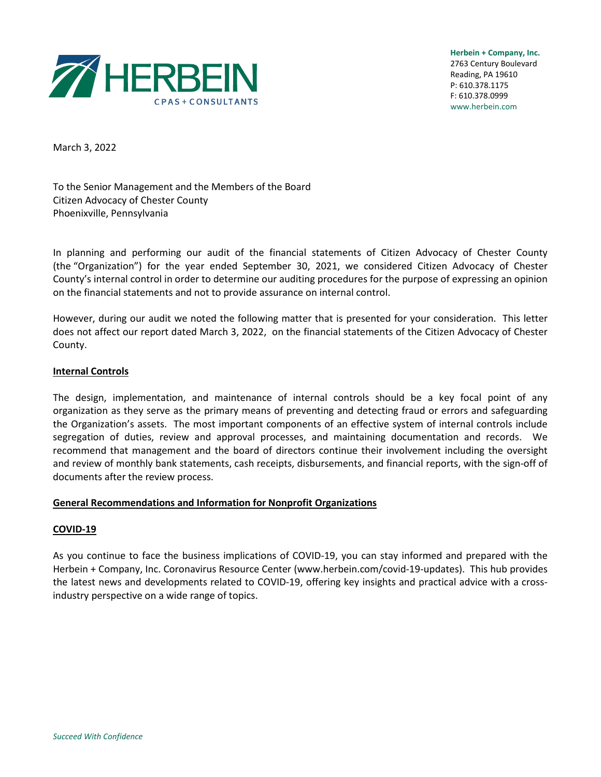

**Herbein + Company, Inc.** 2763 Century Boulevard Reading, PA 19610 P: 610.378.1175 F: 610.378.0999 www.herbein.com

March 3, 2022

To the Senior Management and the Members of the Board Citizen Advocacy of Chester County Phoenixville, Pennsylvania

In planning and performing our audit of the financial statements of Citizen Advocacy of Chester County (the "Organization") for the year ended September 30, 2021, we considered Citizen Advocacy of Chester County's internal control in order to determine our auditing procedures for the purpose of expressing an opinion on the financial statements and not to provide assurance on internal control.

However, during our audit we noted the following matter that is presented for your consideration. This letter does not affect our report dated March 3, 2022, on the financial statements of the Citizen Advocacy of Chester County.

## **Internal Controls**

The design, implementation, and maintenance of internal controls should be a key focal point of any organization as they serve as the primary means of preventing and detecting fraud or errors and safeguarding the Organization's assets. The most important components of an effective system of internal controls include segregation of duties, review and approval processes, and maintaining documentation and records. We recommend that management and the board of directors continue their involvement including the oversight and review of monthly bank statements, cash receipts, disbursements, and financial reports, with the sign-off of documents after the review process.

## **General Recommendations and Information for Nonprofit Organizations**

## **COVID-19**

As you continue to face the business implications of COVID-19, you can stay informed and prepared with the Herbein + Company, Inc. Coronavirus Resource Center (www.herbein.com/covid-19-updates). This hub provides the latest news and developments related to COVID-19, offering key insights and practical advice with a crossindustry perspective on a wide range of topics.